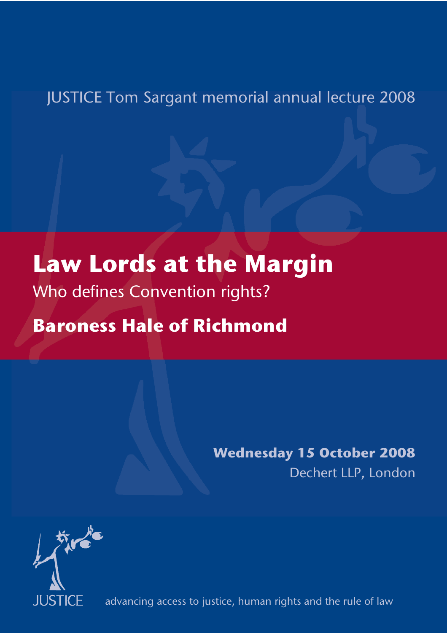### JUSTICE Tom Sargant memorial annual lecture 2008

# **Law Lords at the Margin**

Who defines Convention rights?

## **Baroness Hale of Richmond**

## **Wednesday 15 October 2008**

Dechert LLP, London



advancing access to justice, human rights and the rule of law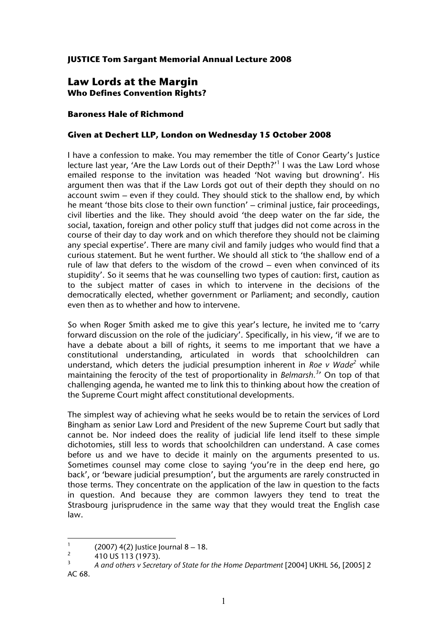#### **JUSTICE Tom Sargant Memorial Annual Lecture 2008**

#### **Law Lords at the Margin Who Defines Convention Rights?**

#### **Baroness Hale of Richmond**

#### **Given at Dechert LLP, London on Wednesday 15 October 2008**

I have a confession to make. You may remember the title of Conor Gearty's Justice lecture last year, 'Are the Law Lords out of their Depth?'<sup>1</sup> I was the Law Lord whose emailed response to the invitation was headed 'Not waving but drowning'. His argument then was that if the Law Lords got out of their depth they should on no account swim – even if they could. They should stick to the shallow end, by which he meant 'those bits close to their own function' – criminal justice, fair proceedings, civil liberties and the like. They should avoid 'the deep water on the far side, the social, taxation, foreign and other policy stuff that judges did not come across in the course of their day to day work and on which therefore they should not be claiming any special expertise'. There are many civil and family judges who would find that a curious statement. But he went further. We should all stick to 'the shallow end of a rule of law that defers to the wisdom of the crowd – even when convinced of its stupidity'. So it seems that he was counselling two types of caution: first, caution as to the subject matter of cases in which to intervene in the decisions of the democratically elected, whether government or Parliament; and secondly, caution even then as to whether and how to intervene.

So when Roger Smith asked me to give this year's lecture, he invited me to 'carry forward discussion on the role of the judiciary'. Specifically, in his view, 'if we are to have a debate about a bill of rights, it seems to me important that we have a constitutional understanding, articulated in words that schoolchildren can understand, which deters the judicial presumption inherent in *Roe v Wade<sup>2</sup>* while maintaining the ferocity of the test of proportionality in *Belmarsh.<sup>3</sup>* ' On top of that challenging agenda, he wanted me to link this to thinking about how the creation of the Supreme Court might affect constitutional developments.

The simplest way of achieving what he seeks would be to retain the services of Lord Bingham as senior Law Lord and President of the new Supreme Court but sadly that cannot be. Nor indeed does the reality of judicial life lend itself to these simple dichotomies, still less to words that schoolchildren can understand. A case comes before us and we have to decide it mainly on the arguments presented to us. Sometimes counsel may come close to saying 'you're in the deep end here, go back', or 'beware judicial presumption', but the arguments are rarely constructed in those terms. They concentrate on the application of the law in question to the facts in question. And because they are common lawyers they tend to treat the Strasbourg jurisprudence in the same way that they would treat the English case law.

<sup>|&</sup>lt;br>1 (2007) 4(2) Justice Journal 8 – 18.

<sup>2</sup> 410 US 113 (1973).

<sup>3</sup> *A and others v Secretary of State for the Home Department* [2004] UKHL 56, [2005] 2 AC 68.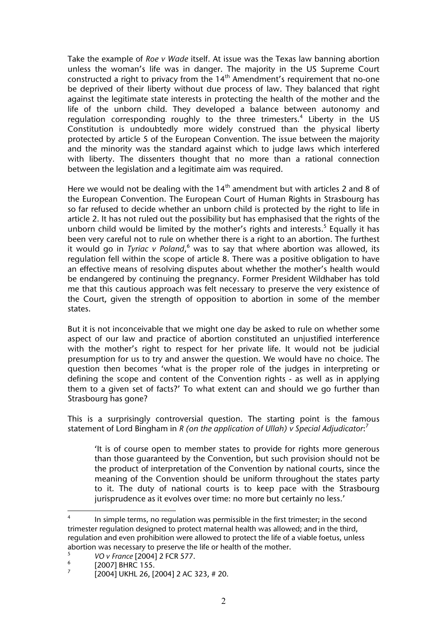Take the example of *Roe v Wade* itself. At issue was the Texas law banning abortion unless the woman's life was in danger. The majority in the US Supreme Court constructed a right to privacy from the 14<sup>th</sup> Amendment's requirement that no-one be deprived of their liberty without due process of law. They balanced that right against the legitimate state interests in protecting the health of the mother and the life of the unborn child. They developed a balance between autonomy and regulation corresponding roughly to the three trimesters.<sup>4</sup> Liberty in the US Constitution is undoubtedly more widely construed than the physical liberty protected by article 5 of the European Convention. The issue between the majority and the minority was the standard against which to judge laws which interfered with liberty. The dissenters thought that no more than a rational connection between the legislation and a legitimate aim was required.

Here we would not be dealing with the  $14<sup>th</sup>$  amendment but with articles 2 and 8 of the European Convention. The European Court of Human Rights in Strasbourg has so far refused to decide whether an unborn child is protected by the right to life in article 2. It has not ruled out the possibility but has emphasised that the rights of the unborn child would be limited by the mother's rights and interests.<sup>5</sup> Equally it has been very careful not to rule on whether there is a right to an abortion. The furthest it would go in *Tyriac v Poland*,<sup>6</sup> was to say that where abortion was allowed, its regulation fell within the scope of article 8. There was a positive obligation to have an effective means of resolving disputes about whether the mother's health would be endangered by continuing the pregnancy. Former President Wildhaber has told me that this cautious approach was felt necessary to preserve the very existence of the Court, given the strength of opposition to abortion in some of the member states.

But it is not inconceivable that we might one day be asked to rule on whether some aspect of our law and practice of abortion constituted an unjustified interference with the mother's right to respect for her private life. It would not be judicial presumption for us to try and answer the question. We would have no choice. The question then becomes 'what is the proper role of the judges in interpreting or defining the scope and content of the Convention rights - as well as in applying them to a given set of facts?' To what extent can and should we go further than Strasbourg has gone?

This is a surprisingly controversial question. The starting point is the famous statement of Lord Bingham in *R (on the application of Ullah) v Special Adjudicator*: 7

'It is of course open to member states to provide for rights more generous than those guaranteed by the Convention, but such provision should not be the product of interpretation of the Convention by national courts, since the meaning of the Convention should be uniform throughout the states party to it. The duty of national courts is to keep pace with the Strasbourg jurisprudence as it evolves over time: no more but certainly no less.'

 $\frac{1}{4}$  In simple terms, no regulation was permissible in the first trimester; in the second trimester regulation designed to protect maternal health was allowed; and in the third, regulation and even prohibition were allowed to protect the life of a viable foetus, unless abortion was necessary to preserve the life or health of the mother.

<sup>5</sup> *VO v France* [2004] 2 FCR 577.

<sup>6</sup> [2007] BHRC 155.

<sup>7</sup> [2004] UKHL 26, [2004] 2 AC 323, # 20.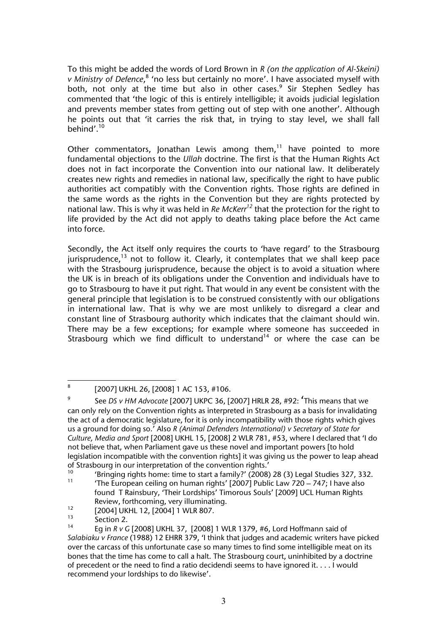To this might be added the words of Lord Brown in *R (on the application of Al-Skeini)*  v Ministry of Defence,<sup>8</sup> 'no less but certainly no more'. I have associated myself with both, not only at the time but also in other cases.<sup>9</sup> Sir Stephen Sedley has commented that 'the logic of this is entirely intelligible; it avoids judicial legislation and prevents member states from getting out of step with one another'. Although he points out that 'it carries the risk that, in trying to stay level, we shall fall behind'.<sup>10</sup>

Other commentators, Jonathan Lewis among them, $11$  have pointed to more fundamental objections to the *Ullah* doctrine. The first is that the Human Rights Act does not in fact incorporate the Convention into our national law. It deliberately creates new rights and remedies in national law, specifically the right to have public authorities act compatibly with the Convention rights. Those rights are defined in the same words as the rights in the Convention but they are rights protected by national law. This is why it was held in *Re McKerr<sup>12</sup>* that the protection for the right to life provided by the Act did not apply to deaths taking place before the Act came into force.

Secondly, the Act itself only requires the courts to 'have regard' to the Strasbourg jurisprudence,<sup>13</sup> not to follow it. Clearly, it contemplates that we shall keep pace with the Strasbourg jurisprudence, because the object is to avoid a situation where the UK is in breach of its obligations under the Convention and individuals have to go to Strasbourg to have it put right. That would in any event be consistent with the general principle that legislation is to be construed consistently with our obligations in international law. That is why we are most unlikely to disregard a clear and constant line of Strasbourg authority which indicates that the claimant should win. There may be a few exceptions; for example where someone has succeeded in Strasbourg which we find difficult to understand<sup>14</sup> or where the case can be

 $^{12}$  [2004] UKHL 12, [2004] 1 WLR 807.

 $\frac{1}{8}$ [2007] UKHL 26, [2008] 1 AC 153, #106.

<sup>9</sup> See *DS v HM Advocate* [2007] UKPC 36, [2007] HRLR 28, #92: 'This means that we can only rely on the Convention rights as interpreted in Strasbourg as a basis for invalidating the act of a democratic legislature, for it is only incompatibility with those rights which gives us a ground for doing so.' Also *R (Animal Defenders International) v Secretary of State for Culture, Media and Sport* [2008] UKHL 15, [2008] 2 WLR 781, #53, where I declared that 'I do not believe that, when Parliament gave us these novel and important powers [to hold legislation incompatible with the convention rights] it was giving us the power to leap ahead of Strasbourg in our interpretation of the convention rights.'

<sup>&</sup>lt;sup>10</sup> 'Bringing rights home: time to start a family?' (2008) 28 (3) Legal Studies 327, 332.

The European ceiling on human rights'  $[2007]$  Public Law  $720 - 747$ ; I have also found T Rainsbury, 'Their Lordships' Timorous Souls' [2009] UCL Human Rights Review, forthcoming, very illuminating.

 $\frac{13}{14}$  Section 2.

<sup>14</sup> Eg in *R v G* [2008] UKHL 37, [2008] 1 WLR 1379, #6, Lord Hoffmann said of *Salabiaku v France* (1988) 12 EHRR 379, 'I think that judges and academic writers have picked over the carcass of this unfortunate case so many times to find some intelligible meat on its bones that the time has come to call a halt. The Strasbourg court, uninhibited by a doctrine of precedent or the need to find a ratio decidendi seems to have ignored it. . . . I would recommend your lordships to do likewise'.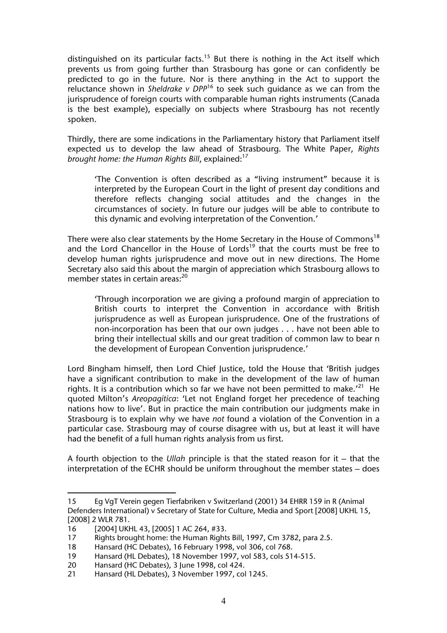distinguished on its particular facts.<sup>15</sup> But there is nothing in the Act itself which prevents us from going further than Strasbourg has gone or can confidently be predicted to go in the future. Nor is there anything in the Act to support the reluctance shown in *Sheldrake v DPP*16 to seek such guidance as we can from the jurisprudence of foreign courts with comparable human rights instruments (Canada is the best example), especially on subjects where Strasbourg has not recently spoken.

Thirdly, there are some indications in the Parliamentary history that Parliament itself expected us to develop the law ahead of Strasbourg. The White Paper, *Rights brought home: the Human Rights Bill, explained:*<sup>17</sup>

'The Convention is often described as a "living instrument" because it is interpreted by the European Court in the light of present day conditions and therefore reflects changing social attitudes and the changes in the circumstances of society. In future our judges will be able to contribute to this dynamic and evolving interpretation of the Convention.'

There were also clear statements by the Home Secretary in the House of Commons<sup>18</sup> and the Lord Chancellor in the House of Lords<sup>19</sup> that the courts must be free to develop human rights jurisprudence and move out in new directions. The Home Secretary also said this about the margin of appreciation which Strasbourg allows to member states in certain areas:<sup>20</sup>

'Through incorporation we are giving a profound margin of appreciation to British courts to interpret the Convention in accordance with British jurisprudence as well as European jurisprudence. One of the frustrations of non-incorporation has been that our own judges . . . have not been able to bring their intellectual skills and our great tradition of common law to bear n the development of European Convention jurisprudence.'

Lord Bingham himself, then Lord Chief Justice, told the House that 'British judges have a significant contribution to make in the development of the law of human rights. It is a contribution which so far we have not been permitted to make.<sup>'21</sup> He quoted Milton's *Areopagitica*: 'Let not England forget her precedence of teaching nations how to live'. But in practice the main contribution our judgments make in Strasbourg is to explain why we have *not* found a violation of the Convention in a particular case. Strasbourg may of course disagree with us, but at least it will have had the benefit of a full human rights analysis from us first.

A fourth objection to the *Ullah* principle is that the stated reason for it – that the interpretation of the ECHR should be uniform throughout the member states – does

 $\overline{a}$ 

<sup>15</sup> Eg VgT Verein gegen Tierfabriken v Switzerland (2001) 34 EHRR 159 in R (Animal Defenders International) v Secretary of State for Culture, Media and Sport [2008] UKHL 15, [2008] 2 WLR 781.

<sup>16 [2004]</sup> UKHL 43, [2005] 1 AC 264, #33.

<sup>17</sup> Rights brought home: the Human Rights Bill, 1997, Cm 3782, para 2.5.

<sup>18</sup> Hansard (HC Debates), 16 February 1998, vol 306, col 768.

<sup>19</sup> Hansard (HL Debates), 18 November 1997, vol 583, cols 514-515.<br>20 Hansard (HC Debates), 3 June 1998, col 424.

Hansard (HC Debates), 3 June 1998, col 424.

<sup>21</sup> Hansard (HL Debates), 3 November 1997, col 1245.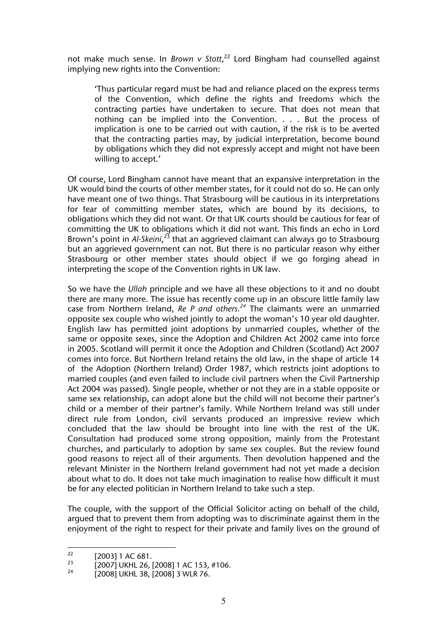not make much sense. In *Brown v Stott*, <sup>22</sup> Lord Bingham had counselled against implying new rights into the Convention:

'Thus particular regard must be had and reliance placed on the express terms of the Convention, which define the rights and freedoms which the contracting parties have undertaken to secure. That does not mean that nothing can be implied into the Convention. . . . But the process of implication is one to be carried out with caution, if the risk is to be averted that the contracting parties may, by judicial interpretation, become bound by obligations which they did not expressly accept and might not have been willing to accept.'

Of course, Lord Bingham cannot have meant that an expansive interpretation in the UK would bind the courts of other member states, for it could not do so. He can only have meant one of two things. That Strasbourg will be cautious in its interpretations for fear of committing member states, which are bound by its decisions, to obligations which they did not want. Or that UK courts should be cautious for fear of committing the UK to obligations which it did not want. This finds an echo in Lord Brown's point in *Al-Skeini,<sup>23</sup>* that an aggrieved claimant can always go to Strasbourg but an aggrieved government can not. But there is no particular reason why either Strasbourg or other member states should object if we go forging ahead in interpreting the scope of the Convention rights in UK law.

So we have the *Ullah* principle and we have all these objections to it and no doubt there are many more. The issue has recently come up in an obscure little family law case from Northern Ireland, *Re P and others.<sup>24</sup>* The claimants were an unmarried opposite sex couple who wished jointly to adopt the woman's 10 year old daughter. English law has permitted joint adoptions by unmarried couples, whether of the same or opposite sexes, since the Adoption and Children Act 2002 came into force in 2005. Scotland will permit it once the Adoption and Children (Scotland) Act 2007 comes into force. But Northern Ireland retains the old law, in the shape of article 14 of the Adoption (Northern Ireland) Order 1987, which restricts joint adoptions to married couples (and even failed to include civil partners when the Civil Partnership Act 2004 was passed). Single people, whether or not they are in a stable opposite or same sex relationship, can adopt alone but the child will not become their partner's child or a member of their partner's family. While Northern Ireland was still under direct rule from London, civil servants produced an impressive review which concluded that the law should be brought into line with the rest of the UK. Consultation had produced some strong opposition, mainly from the Protestant churches, and particularly to adoption by same sex couples. But the review found good reasons to reject all of their arguments. Then devolution happened and the relevant Minister in the Northern Ireland government had not yet made a decision about what to do. It does not take much imagination to realise how difficult it must be for any elected politician in Northern Ireland to take such a step.

The couple, with the support of the Official Solicitor acting on behalf of the child, argued that to prevent them from adopting was to discriminate against them in the enjoyment of the right to respect for their private and family lives on the ground of

 $22$  $\frac{22}{23}$  [2003] 1 AC 681.

<sup>&</sup>lt;sup>23</sup> [2007] UKHL 26, [2008] 1 AC 153, #106.

<sup>[2008]</sup> UKHL 38, [2008] 3 WLR 76.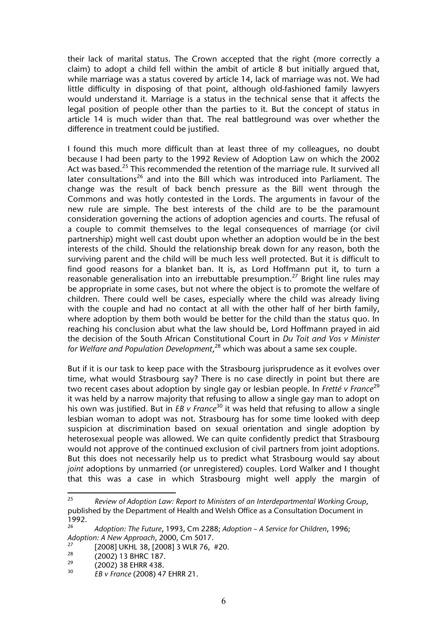their lack of marital status. The Crown accepted that the right (more correctly a claim) to adopt a child fell within the ambit of article 8 but initially argued that, while marriage was a status covered by article 14, lack of marriage was not. We had little difficulty in disposing of that point, although old-fashioned family lawyers would understand it. Marriage is a status in the technical sense that it affects the legal position of people other than the parties to it. But the concept of status in article 14 is much wider than that. The real battleground was over whether the difference in treatment could be justified.

I found this much more difficult than at least three of my colleagues, no doubt because I had been party to the 1992 Review of Adoption Law on which the 2002 Act was based.<sup>25</sup> This recommended the retention of the marriage rule. It survived all later consultations<sup>26</sup> and into the Bill which was introduced into Parliament. The change was the result of back bench pressure as the Bill went through the Commons and was hotly contested in the Lords. The arguments in favour of the new rule are simple. The best interests of the child are to be the paramount consideration governing the actions of adoption agencies and courts. The refusal of a couple to commit themselves to the legal consequences of marriage (or civil partnership) might well cast doubt upon whether an adoption would be in the best interests of the child. Should the relationship break down for any reason, both the surviving parent and the child will be much less well protected. But it is difficult to find good reasons for a blanket ban. It is, as Lord Hoffmann put it, to turn a reasonable generalisation into an irrebuttable presumption.<sup>27</sup> Bright line rules may be appropriate in some cases, but not where the object is to promote the welfare of children. There could well be cases, especially where the child was already living with the couple and had no contact at all with the other half of her birth family, where adoption by them both would be better for the child than the status quo. In reaching his conclusion abut what the law should be, Lord Hoffmann prayed in aid the decision of the South African Constitutional Court in *Du Toit and Vos v Minister for Welfare and Population Development*, 28 which was about a same sex couple.

But if it is our task to keep pace with the Strasbourg jurisprudence as it evolves over time, what would Strasbourg say? There is no case directly in point but there are two recent cases about adoption by single gay or lesbian people. In *Fretté v France*<sup>29</sup> it was held by a narrow majority that refusing to allow a single gay man to adopt on his own was justified. But in *EB v France*<sup>30</sup> it was held that refusing to allow a single lesbian woman to adopt was not. Strasbourg has for some time looked with deep suspicion at discrimination based on sexual orientation and single adoption by heterosexual people was allowed. We can quite confidently predict that Strasbourg would not approve of the continued exclusion of civil partners from joint adoptions. But this does not necessarily help us to predict what Strasbourg would say about *joint* adoptions by unmarried (or unregistered) couples. Lord Walker and I thought that this was a case in which Strasbourg might well apply the margin of

<sup>25</sup> 25 *Review of Adoption Law: Report to Ministers of an Interdepartmental Working Group*, published by the Department of Health and Welsh Office as a Consultation Document in 1992.

<sup>26</sup> *Adoption: The Future*, 1993, Cm 2288; *Adoption – A Service for Children*, 1996; *Adoption: A New Approach*, 2000, Cm 5017.

<sup>&</sup>lt;sup>27</sup> [2008] UKHL 38, [2008] 3 WLR 76, #20.

 $^{28}$  (2002) 13 BHRC 187.

 $^{29}$  (2002) 38 EHRR 438.

<sup>30</sup> *EB v France* (2008) 47 EHRR 21.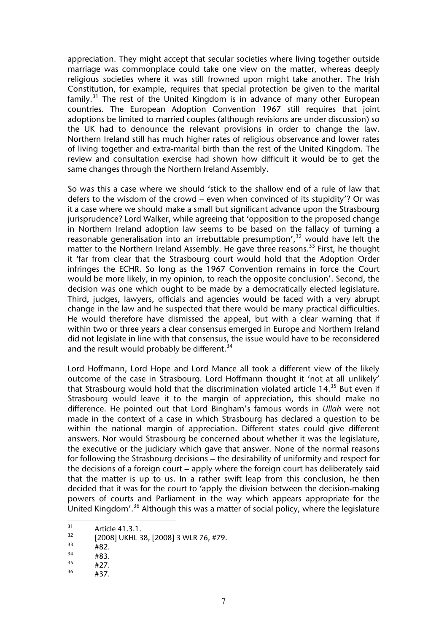appreciation. They might accept that secular societies where living together outside marriage was commonplace could take one view on the matter, whereas deeply religious societies where it was still frowned upon might take another. The Irish Constitution, for example, requires that special protection be given to the marital  $f$ amily.<sup>31</sup> The rest of the United Kingdom is in advance of many other European countries. The European Adoption Convention 1967 still requires that joint adoptions be limited to married couples (although revisions are under discussion) so the UK had to denounce the relevant provisions in order to change the law. Northern Ireland still has much higher rates of religious observance and lower rates of living together and extra-marital birth than the rest of the United Kingdom. The review and consultation exercise had shown how difficult it would be to get the same changes through the Northern Ireland Assembly.

So was this a case where we should 'stick to the shallow end of a rule of law that defers to the wisdom of the crowd – even when convinced of its stupidity'? Or was it a case where we should make a small but significant advance upon the Strasbourg jurisprudence? Lord Walker, while agreeing that 'opposition to the proposed change in Northern Ireland adoption law seems to be based on the fallacy of turning a reasonable generalisation into an irrebuttable presumption', $32$  would have left the matter to the Northern Ireland Assembly. He gave three reasons.<sup>33</sup> First, he thought it 'far from clear that the Strasbourg court would hold that the Adoption Order infringes the ECHR. So long as the 1967 Convention remains in force the Court would be more likely, in my opinion, to reach the opposite conclusion'. Second, the decision was one which ought to be made by a democratically elected legislature. Third, judges, lawyers, officials and agencies would be faced with a very abrupt change in the law and he suspected that there would be many practical difficulties. He would therefore have dismissed the appeal, but with a clear warning that if within two or three years a clear consensus emerged in Europe and Northern Ireland did not legislate in line with that consensus, the issue would have to be reconsidered and the result would probably be different.<sup>34</sup>

Lord Hoffmann, Lord Hope and Lord Mance all took a different view of the likely outcome of the case in Strasbourg. Lord Hoffmann thought it 'not at all unlikely' that Strasbourg would hold that the discrimination violated article 14.<sup>35</sup> But even if Strasbourg would leave it to the margin of appreciation, this should make no difference. He pointed out that Lord Bingham's famous words in *Ullah* were not made in the context of a case in which Strasbourg has declared a question to be within the national margin of appreciation. Different states could give different answers. Nor would Strasbourg be concerned about whether it was the legislature, the executive or the judiciary which gave that answer. None of the normal reasons for following the Strasbourg decisions – the desirability of uniformity and respect for the decisions of a foreign court – apply where the foreign court has deliberately said that the matter is up to us. In a rather swift leap from this conclusion, he then decided that it was for the court to 'apply the division between the decision-making powers of courts and Parliament in the way which appears appropriate for the United Kingdom'.36 Although this was a matter of social policy, where the legislature

 $31$  $31$  Article 41.3.1.

 $\frac{32}{33}$  [2008] UKHL 38, [2008] 3 WLR 76, #79.

 $\frac{33}{34}$  #82.

 $\frac{34}{35}$  #83.

 $^{35}$  #27.

<sup>#37.</sup>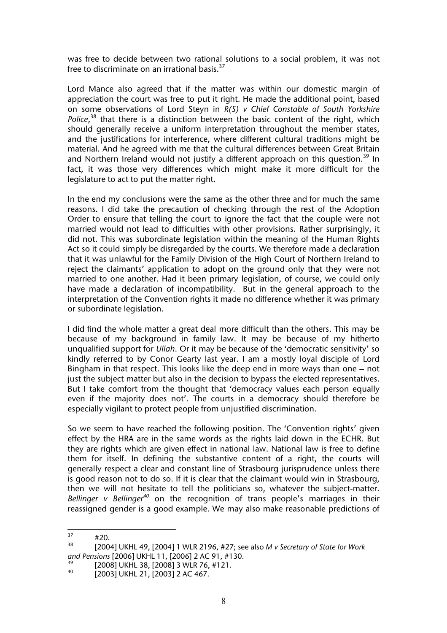was free to decide between two rational solutions to a social problem, it was not free to discriminate on an irrational basis. $37$ 

Lord Mance also agreed that if the matter was within our domestic margin of appreciation the court was free to put it right. He made the additional point, based on some observations of Lord Steyn in *R(S) v Chief Constable of South Yorkshire*  Police,<sup>38</sup> that there is a distinction between the basic content of the right, which should generally receive a uniform interpretation throughout the member states, and the justifications for interference, where different cultural traditions might be material. And he agreed with me that the cultural differences between Great Britain and Northern Ireland would not justify a different approach on this question.<sup>39</sup> In fact, it was those very differences which might make it more difficult for the legislature to act to put the matter right.

In the end my conclusions were the same as the other three and for much the same reasons. I did take the precaution of checking through the rest of the Adoption Order to ensure that telling the court to ignore the fact that the couple were not married would not lead to difficulties with other provisions. Rather surprisingly, it did not. This was subordinate legislation within the meaning of the Human Rights Act so it could simply be disregarded by the courts. We therefore made a declaration that it was unlawful for the Family Division of the High Court of Northern Ireland to reject the claimants' application to adopt on the ground only that they were not married to one another. Had it been primary legislation, of course, we could only have made a declaration of incompatibility. But in the general approach to the interpretation of the Convention rights it made no difference whether it was primary or subordinate legislation.

I did find the whole matter a great deal more difficult than the others. This may be because of my background in family law. It may be because of my hitherto unqualified support for *Ullah*. Or it may be because of the 'democratic sensitivity' so kindly referred to by Conor Gearty last year. I am a mostly loyal disciple of Lord Bingham in that respect. This looks like the deep end in more ways than one – not just the subject matter but also in the decision to bypass the elected representatives. But I take comfort from the thought that 'democracy values each person equally even if the majority does not'. The courts in a democracy should therefore be especially vigilant to protect people from unjustified discrimination.

So we seem to have reached the following position. The 'Convention rights' given effect by the HRA are in the same words as the rights laid down in the ECHR. But they are rights which are given effect in national law. National law is free to define them for itself. In defining the substantive content of a right, the courts will generally respect a clear and constant line of Strasbourg jurisprudence unless there is good reason not to do so. If it is clear that the claimant would win in Strasbourg, then we will not hesitate to tell the politicians so, whatever the subject-matter. *Bellinger v Bellinger<sup>40</sup>* on the recognition of trans people's marriages in their reassigned gender is a good example. We may also make reasonable predictions of

 $37$  $^{37}$  #20.

<sup>38 [2004]</sup> UKHL 49, [2004] 1 WLR 2196, #27; see also *M v Secretary of State for Work and Pensions* [2006] UKHL 11, [2006] 2 AC 91, #130.

 $^{39}$  [2008] UKHL 38, [2008] 3 WLR 76, #121.

<sup>40 [2003]</sup> UKHL 21, [2003] 2 AC 467.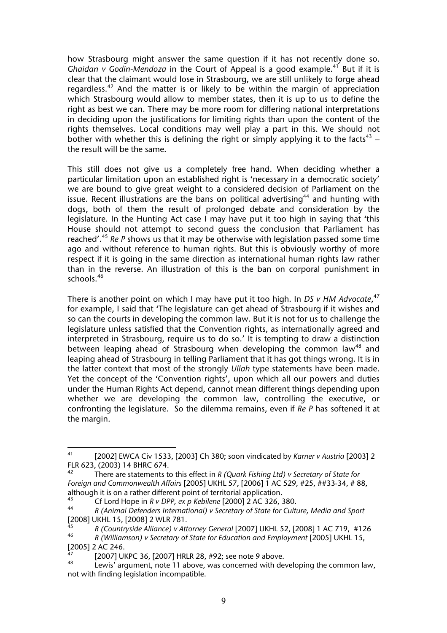how Strasbourg might answer the same question if it has not recently done so. *Ghaidan v Godin-Mendoza* in the Court of Appeal is a good example.<sup>41</sup> But if it is clear that the claimant would lose in Strasbourg, we are still unlikely to forge ahead regardless.<sup>42</sup> And the matter is or likely to be within the margin of appreciation which Strasbourg would allow to member states, then it is up to us to define the right as best we can. There may be more room for differing national interpretations in deciding upon the justifications for limiting rights than upon the content of the rights themselves. Local conditions may well play a part in this. We should not bother with whether this is defining the right or simply applying it to the facts<sup>43</sup> – the result will be the same.

This still does not give us a completely free hand. When deciding whether a particular limitation upon an established right is 'necessary in a democratic society' we are bound to give great weight to a considered decision of Parliament on the issue. Recent illustrations are the bans on political advertising<sup>44</sup> and hunting with dogs, both of them the result of prolonged debate and consideration by the legislature. In the Hunting Act case I may have put it too high in saying that 'this House should not attempt to second guess the conclusion that Parliament has reached'.<sup>45</sup> *Re P* shows us that it may be otherwise with legislation passed some time ago and without reference to human rights. But this is obviously worthy of more respect if it is going in the same direction as international human rights law rather than in the reverse. An illustration of this is the ban on corporal punishment in schools.46

There is another point on which I may have put it too high. In *DS v HM Advocate*, 47 for example, I said that 'The legislature can get ahead of Strasbourg if it wishes and so can the courts in developing the common law. But it is not for us to challenge the legislature unless satisfied that the Convention rights, as internationally agreed and interpreted in Strasbourg, require us to do so.' It is tempting to draw a distinction between leaping ahead of Strasbourg when developing the common law<sup>48</sup> and leaping ahead of Strasbourg in telling Parliament that it has got things wrong. It is in the latter context that most of the strongly *Ullah* type statements have been made. Yet the concept of the 'Convention rights', upon which all our powers and duties under the Human Rights Act depend, cannot mean different things depending upon whether we are developing the common law, controlling the executive, or confronting the legislature. So the dilemma remains, even if *Re P* has softened it at the margin.

<sup>41</sup> 41 [2002] EWCA Civ 1533, [2003] Ch 380; soon vindicated by *Karner v Austria* [2003] 2 FLR 623, (2003) 14 BHRC 674.

<sup>42</sup> There are statements to this effect in *R (Quark Fishing Ltd) v Secretary of State for Foreign and Commonwealth Affairs* [2005] UKHL 57, [2006] 1 AC 529*,* #25, ##33-34, # 88, although it is on a rather different point of territorial application.

<sup>43</sup> Cf Lord Hope in *R v DPP, ex p Kebilene* [2000] 2 AC 326, 380.

<sup>44</sup> *R (Animal Defenders International) v Secretary of State for Culture, Media and Sport*

<sup>&</sup>lt;sup>45</sup> *R* (Countryside Alliance) v Attorney General [2007] UKHL 52, [2008] 1 AC 719, #126<br><sup>46</sup> *R (Williamson) v Secretary of State for Education and Employment* [2005] UKHL 15

<sup>46</sup> *R (Williamson) v Secretary of State for Education and Employment* [2005] UKHL 15,  $[2005]$  2 AC 246.

<sup>&</sup>lt;sup>47</sup>  $[2007]$  UKPC 36,  $[2007]$  HRLR 28,  $\#92$ ; see note 9 above.

Lewis' argument, note 11 above, was concerned with developing the common law, not with finding legislation incompatible.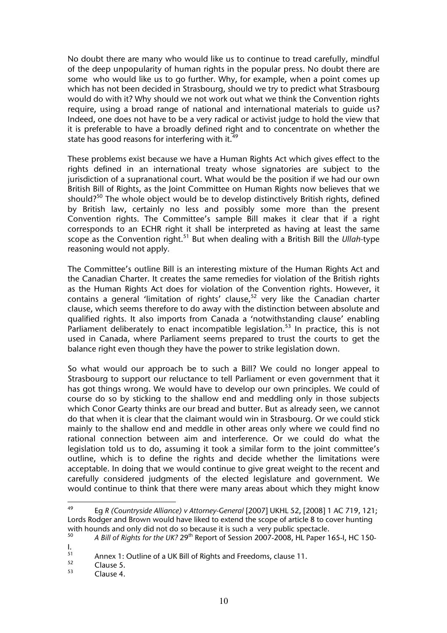No doubt there are many who would like us to continue to tread carefully, mindful of the deep unpopularity of human rights in the popular press. No doubt there are some who would like us to go further. Why, for example, when a point comes up which has not been decided in Strasbourg, should we try to predict what Strasbourg would do with it? Why should we not work out what we think the Convention rights require, using a broad range of national and international materials to guide us? Indeed, one does not have to be a very radical or activist judge to hold the view that it is preferable to have a broadly defined right and to concentrate on whether the state has good reasons for interfering with it.<sup>49</sup>

These problems exist because we have a Human Rights Act which gives effect to the rights defined in an international treaty whose signatories are subject to the jurisdiction of a supranational court. What would be the position if we had our own British Bill of Rights, as the Joint Committee on Human Rights now believes that we should?<sup>50</sup> The whole object would be to develop distinctively British rights, defined by British law, certainly no less and possibly some more than the present Convention rights. The Committee's sample Bill makes it clear that if a right corresponds to an ECHR right it shall be interpreted as having at least the same scope as the Convention right.51 But when dealing with a British Bill the *Ullah-*type reasoning would not apply*.*

The Committee's outline Bill is an interesting mixture of the Human Rights Act and the Canadian Charter. It creates the same remedies for violation of the British rights as the Human Rights Act does for violation of the Convention rights. However, it contains a general 'limitation of rights' clause,<sup>52</sup> very like the Canadian charter clause, which seems therefore to do away with the distinction between absolute and qualified rights. It also imports from Canada a 'notwithstanding clause' enabling Parliament deliberately to enact incompatible legislation.<sup>53</sup> In practice, this is not used in Canada, where Parliament seems prepared to trust the courts to get the balance right even though they have the power to strike legislation down.

So what would our approach be to such a Bill? We could no longer appeal to Strasbourg to support our reluctance to tell Parliament or even government that it has got things wrong. We would have to develop our own principles. We could of course do so by sticking to the shallow end and meddling only in those subjects which Conor Gearty thinks are our bread and butter. But as already seen, we cannot do that when it is clear that the claimant would win in Strasbourg. Or we could stick mainly to the shallow end and meddle in other areas only where we could find no rational connection between aim and interference. Or we could do what the legislation told us to do, assuming it took a similar form to the joint committee's outline, which is to define the rights and decide whether the limitations were acceptable. In doing that we would continue to give great weight to the recent and carefully considered judgments of the elected legislature and government. We would continue to think that there were many areas about which they might know

<sup>49</sup> 49 Eg *R (Countryside Alliance) v Attorney-General* [2007] UKHL 52, [2008] 1 AC 719, 121; Lords Rodger and Brown would have liked to extend the scope of article 8 to cover hunting with hounds and only did not do so because it is such a very public spectacle.<br> $^{50}$ 

<sup>50</sup> *A Bill of Rights for the UK?* 29th Report of Session 2007-2008, HL Paper 165-I, HC 150-

 $\frac{1}{51}$ <sup>51</sup> Annex 1: Outline of a UK Bill of Rights and Freedoms, clause 11.

 $\frac{52}{53}$  Clause 5.

Clause 4.